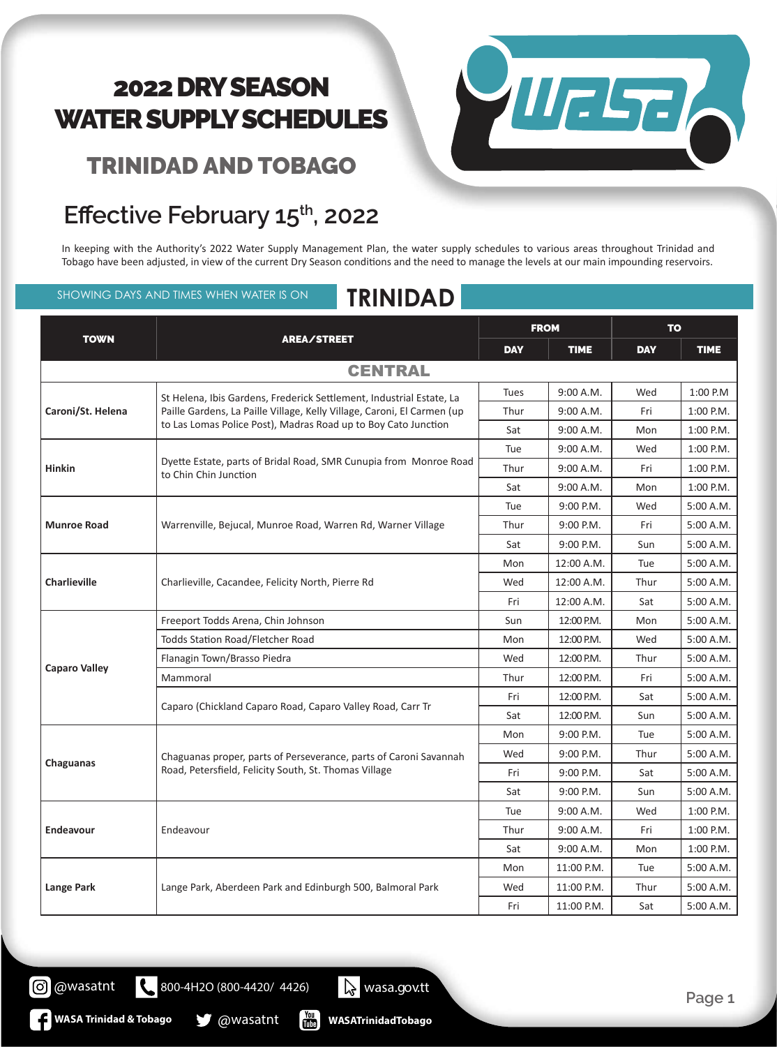TRINIDAD AND TOBAGO

### **Effective February 15th, 2022**

**Chaguanas** Chaguanas proper, parts of Perseverance, parts of Caroni Savannah

**Lange Park** Lange Park, Aberdeen Park and Edinburgh 500, Balmoral Park

Road, Petersfield, Felicity South, St. Thomas Village

800-4H2O (800-4420/ 4426) wasa.gov.tt

圖

In keeping with the Authority's 2022 Water Supply Management Plan, the water supply schedules to various areas throughout Trinidad and Tobago have been adjusted, in view of the current Dry Season conditions and the need to manage the levels at our main impounding reservoirs.

SHOWING DAYS AND TIMES WHEN WATER IS ON **TRINIDAD**

| <b>TOWN</b>          | AREA/STREET                                                                                                                                                                                                       |             |             |            |             |
|----------------------|-------------------------------------------------------------------------------------------------------------------------------------------------------------------------------------------------------------------|-------------|-------------|------------|-------------|
|                      |                                                                                                                                                                                                                   | <b>DAY</b>  | <b>TIME</b> | <b>DAY</b> | <b>TIME</b> |
|                      | <b>CENTRAL</b>                                                                                                                                                                                                    |             |             |            |             |
| Caroni/St. Helena    | St Helena, Ibis Gardens, Frederick Settlement, Industrial Estate, La<br>Paille Gardens, La Paille Village, Kelly Village, Caroni, El Carmen (up<br>to Las Lomas Police Post), Madras Road up to Boy Cato Junction | <b>Tues</b> | 9:00 A.M.   | Wed        | 1:00 P.M    |
|                      |                                                                                                                                                                                                                   | Thur        | 9:00 A.M.   | Fri        | 1:00 P.M.   |
|                      |                                                                                                                                                                                                                   | Sat         | 9:00 A.M.   | Mon        | $1:00$ P.M. |
| <b>Hinkin</b>        | Dyette Estate, parts of Bridal Road, SMR Cunupia from Monroe Road<br>to Chin Chin Junction                                                                                                                        | Tue         | 9:00 A.M.   | Wed        | 1:00 P.M.   |
|                      |                                                                                                                                                                                                                   | Thur        | 9:00 A.M.   | Fri        | 1:00 P.M.   |
|                      |                                                                                                                                                                                                                   | Sat         | 9:00 A.M.   | Mon        | 1:00 P.M.   |
| <b>Munroe Road</b>   | Warrenville, Bejucal, Munroe Road, Warren Rd, Warner Village                                                                                                                                                      | Tue         | $9:00$ P.M. | Wed        | 5:00 A.M.   |
|                      |                                                                                                                                                                                                                   | Thur        | $9:00$ P.M. | Fri        | 5:00 A.M.   |
|                      |                                                                                                                                                                                                                   | Sat         | 9:00 P.M.   | Sun        | 5:00 A.M.   |
| <b>Charlieville</b>  | Charlieville, Cacandee, Felicity North, Pierre Rd                                                                                                                                                                 | Mon         | 12:00 A.M.  | Tue        | 5:00 A.M.   |
|                      |                                                                                                                                                                                                                   | Wed         | 12:00 A.M.  | Thur       | 5:00 A.M.   |
|                      |                                                                                                                                                                                                                   | Fri         | 12:00 A.M.  | Sat        | 5:00 A.M.   |
| <b>Caparo Valley</b> | Freeport Todds Arena, Chin Johnson                                                                                                                                                                                | Sun         | 12:00 P.M.  | Mon        | 5:00 A.M.   |
|                      | Todds Station Road/Fletcher Road                                                                                                                                                                                  | Mon         | 12:00 P.M.  | Wed        | 5:00 A.M.   |
|                      | Flanagin Town/Brasso Piedra                                                                                                                                                                                       | Wed         | 12:00 P.M.  | Thur       | 5:00 A.M.   |
|                      | Mammoral                                                                                                                                                                                                          | Thur        | 12:00 P.M.  | Fri        | 5:00 A.M.   |
|                      | Caparo (Chickland Caparo Road, Caparo Valley Road, Carr Tr                                                                                                                                                        | Fri         | 12:00 P.M.  | Sat        | 5:00 A.M.   |
|                      |                                                                                                                                                                                                                   | Sat         | 12:00 P.M.  | Sun        | 5:00 A.M.   |



FROM TO

Mon 9:00 P.M. Tue 5:00 A.M. Wed 9:00 P.M. Thur 5:00 A.M. Fri | 9:00 P.M. | Sat | 5:00 A.M. Sat | 9:00 P.M. | Sun | 5:00 A.M.

Tue 9:00 A.M. Wed 1:00 P.M. Thur 9:00 A.M. Fri 1:00 P.M. Sat |  $9:00$  A.M. | Mon | 1:00 P.M.

Mon | 11:00 P.M. | Tue | 5:00 A.M. Wed  $\vert$  11:00 P.M. Thur  $\vert$  5:00 A.M. Fri | 11:00 P.M. Sat | 5:00 A.M.

**Page 1**

[၀]

@wasatnt

Endeavour **Endeavour Endeavour Endeavour** 

**WASA Trinidad & Tobago @Wasatnt**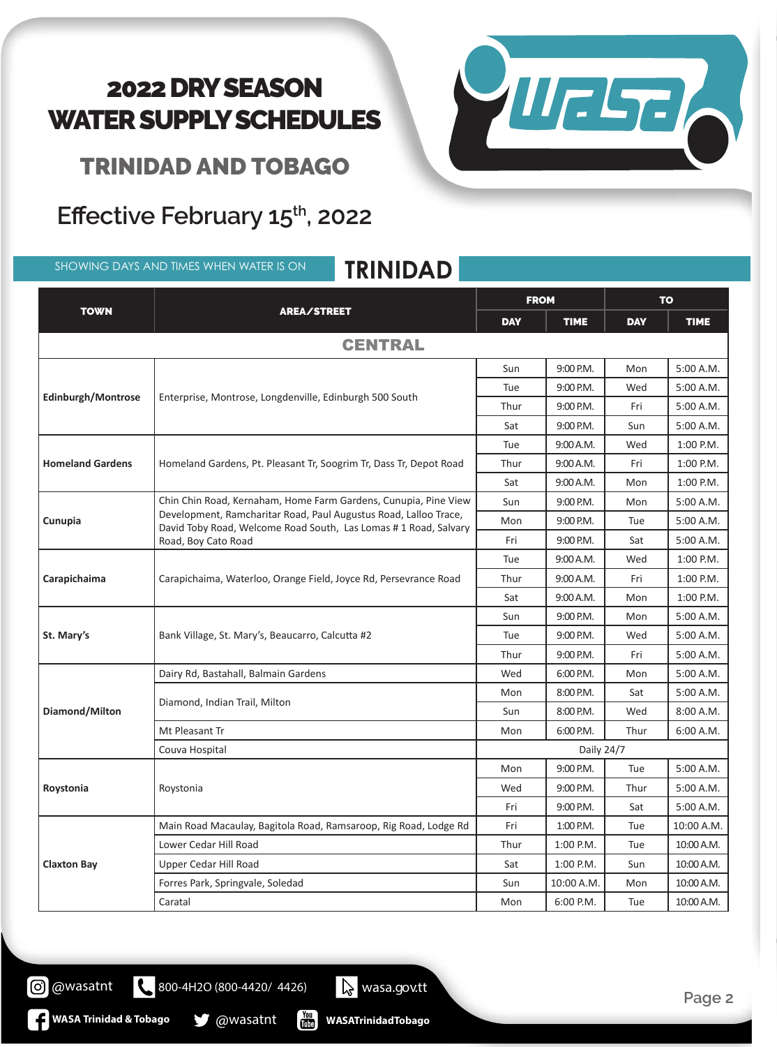VIIESE

TRINIDAD AND TOBAGO

#### Effective February 15<sup>th</sup>, 2022

SHOWING DAYS AND TIMES WHEN WATER IS ON **TRINIDAD**

| <b>TOWN</b>             | <b>AREA/STREET</b>                                                                                                                                                                                                             | <b>FROM</b> |             | <b>TO</b>  |             |  |  |  |  |
|-------------------------|--------------------------------------------------------------------------------------------------------------------------------------------------------------------------------------------------------------------------------|-------------|-------------|------------|-------------|--|--|--|--|
|                         |                                                                                                                                                                                                                                | <b>DAY</b>  | <b>TIME</b> | <b>DAY</b> | <b>TIME</b> |  |  |  |  |
| <b>CENTRAL</b>          |                                                                                                                                                                                                                                |             |             |            |             |  |  |  |  |
|                         | Enterprise, Montrose, Longdenville, Edinburgh 500 South                                                                                                                                                                        | Sun         | 9:00 P.M.   | Mon        | 5:00 A.M.   |  |  |  |  |
|                         |                                                                                                                                                                                                                                | Tue         | 9:00 P.M.   | Wed        | 5:00 A.M.   |  |  |  |  |
| Edinburgh/Montrose      |                                                                                                                                                                                                                                | Thur        | 9:00 P.M.   | Fri        | 5:00 A.M.   |  |  |  |  |
|                         |                                                                                                                                                                                                                                | Sat         | 9:00 P.M.   | Sun        | 5:00 A.M.   |  |  |  |  |
|                         | Homeland Gardens, Pt. Pleasant Tr, Soogrim Tr, Dass Tr, Depot Road                                                                                                                                                             | Tue         | 9:00 A.M.   | Wed        | 1:00 P.M.   |  |  |  |  |
| <b>Homeland Gardens</b> |                                                                                                                                                                                                                                | Thur        | 9:00 A.M.   | Fri        | 1:00 P.M.   |  |  |  |  |
|                         |                                                                                                                                                                                                                                | Sat         | 9:00 A.M.   | Mon        | 1:00 P.M.   |  |  |  |  |
|                         | Chin Chin Road, Kernaham, Home Farm Gardens, Cunupia, Pine View<br>Development, Ramcharitar Road, Paul Augustus Road, Lalloo Trace,<br>David Toby Road, Welcome Road South, Las Lomas # 1 Road, Salvary<br>Road, Boy Cato Road | Sun         | 9:00 P.M.   | Mon        | 5:00 A.M.   |  |  |  |  |
| Cunupia                 |                                                                                                                                                                                                                                | Mon         | 9:00 P.M.   | Tue        | 5:00 A.M.   |  |  |  |  |
|                         |                                                                                                                                                                                                                                | Fri         | 9:00 P.M.   | Sat        | 5:00 A.M.   |  |  |  |  |
|                         | Carapichaima, Waterloo, Orange Field, Joyce Rd, Persevrance Road                                                                                                                                                               | Tue         | 9:00 A.M.   | Wed        | 1:00 P.M.   |  |  |  |  |
| Carapichaima            |                                                                                                                                                                                                                                | Thur        | 9:00 A.M.   | Fri        | 1:00 P.M.   |  |  |  |  |
|                         |                                                                                                                                                                                                                                | Sat         | 9:00 A.M.   | Mon        | 1:00 P.M.   |  |  |  |  |
|                         | Bank Village, St. Mary's, Beaucarro, Calcutta #2                                                                                                                                                                               | Sun         | 9:00 P.M.   | Mon        | 5:00 A.M.   |  |  |  |  |
| St. Mary's              |                                                                                                                                                                                                                                | Tue         | 9:00 P.M.   | Wed        | 5:00 A.M.   |  |  |  |  |
|                         |                                                                                                                                                                                                                                | Thur        | 9:00 P.M.   | Fri        | 5:00 A.M.   |  |  |  |  |
|                         | Dairy Rd, Bastahall, Balmain Gardens                                                                                                                                                                                           | Wed         | 6:00 P.M.   | Mon        | 5:00 A.M.   |  |  |  |  |
|                         | Diamond, Indian Trail, Milton                                                                                                                                                                                                  | Mon         | 8:00 P.M.   | Sat        | 5:00 A.M.   |  |  |  |  |
| Diamond/Milton          |                                                                                                                                                                                                                                | Sun         | 8:00 P.M.   | Wed        | 8:00 A.M.   |  |  |  |  |
|                         | Mt Pleasant Tr                                                                                                                                                                                                                 | Mon         | 6:00 P.M.   | Thur       | 6:00 A.M.   |  |  |  |  |
|                         | Couva Hospital                                                                                                                                                                                                                 | Daily 24/7  |             |            |             |  |  |  |  |
| Roystonia               | Roystonia                                                                                                                                                                                                                      | Mon         | 9:00 P.M.   | Tue        | 5:00 A.M.   |  |  |  |  |
|                         |                                                                                                                                                                                                                                | Wed         | 9:00 P.M.   | Thur       | 5:00 A.M.   |  |  |  |  |
|                         |                                                                                                                                                                                                                                | Fri         | 9:00 P.M.   | Sat        | 5:00 A.M.   |  |  |  |  |
| <b>Claxton Bay</b>      | Main Road Macaulay, Bagitola Road, Ramsaroop, Rig Road, Lodge Rd                                                                                                                                                               | Fri         | 1:00 P.M.   | Tue        | 10:00 A.M.  |  |  |  |  |
|                         | Lower Cedar Hill Road                                                                                                                                                                                                          | Thur        | 1:00 P.M.   | Tue        | 10:00 A.M.  |  |  |  |  |
|                         | Upper Cedar Hill Road                                                                                                                                                                                                          | Sat         | 1:00 P.M.   | Sun        | 10:00 A.M.  |  |  |  |  |
|                         | Forres Park, Springvale, Soledad                                                                                                                                                                                               | Sun         | 10:00 A.M.  | Mon        | 10:00 A.M.  |  |  |  |  |
|                         | Caratal                                                                                                                                                                                                                        | Mon         | 6:00 P.M.   | Tue        | 10:00 A.M.  |  |  |  |  |

**WASATrinidadTobago**

800-4H2O (800-4420/ 4426) wasa.gov.tt

 $\begin{bmatrix} \frac{\gamma_{\text{OU}}}{\gamma_{\text{UU}}} \end{bmatrix}$ 

**WASA Trinidad & Tobago @wasatnt** 

@wasatnt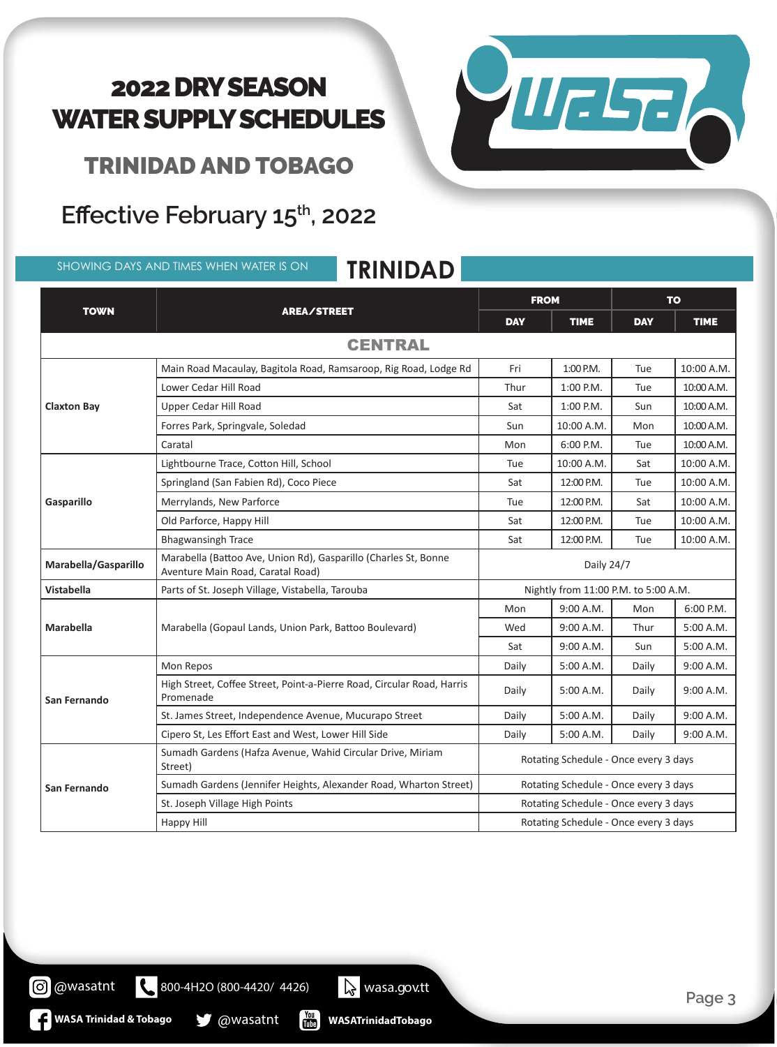

TRINIDAD AND TOBAGO

### **Effective February 15th, 2022**

SHOWING DAYS AND TIMES WHEN WATER IS ON **TRINIDAD**

#### TOWN REALSTREET FROM TO DAY | TIME | DAY | TIME **CENTRAL Claxton Bay** Main Road Macaulay, Bagitola Road, Ramsaroop, Rig Road, Lodge Rd | Fri | 1:00 P.M. | Tue | 10:00 A.M. Lower Cedar Hill Road **Thur 1:00 P.M.** Tue 10:00 A.M. Upper Cedar Hill Road Sat 1:00 P.M. Sun 10:00 A.M. Forres Park, Springvale, Soledad Sun 10:00 A.M. Mon 10:00 A.M. Mon 10:00 A.M. Caratal Mon 6:00 P.M. Tue 10:00 A.M. **Gasparillo** Lightbourne Trace, Cotton Hill, School **Tue** 10:00 A.M. Sat 10:00 A.M. Sat 10:00 A.M. Springland (San Fabien Rd), Coco Piece Sat 12:00 P.M. Tue 10:00 A.M. Merrylands, New Parforce **Tue 12:00 P.M.** Sat 10:00 A.M. Old Parforce, Happy Hill Sat 12:00 P.M. Tue 10:00 A.M. Bhagwansingh Trace **Sat 12:00 P.M.** Tue 10:00 A.M. **Marabella/Gasparillo** Marabella (Battoo Ave, Union Rd), Gasparillo (Charles St, Bonne Aventure Main Road, Caratal Road) and Charles St, Bonne<br>Aventure Main Road, Caratal Road) **Vistabella** Parts of St. Joseph Village, Vistabella, Tarouba Nightly From 11:00 P.M. to 5:00 A.M. **Marabella** Marabella (Gopaul Lands, Union Park, Battoo Boulevard) Mon | 9:00 A.M. | Mon | 6:00 P.M. Wed | 9:00 A.M. | Thur | 5:00 A.M.  $Sat \qquad 9:00 \text{ A.M.}$  Sun 5:00 A.M. **San Fernando** Mon Repos Daily 5:00 A.M. Daily 9:00 A.M. High Street, Coffee Street, Point-a-Pierre Road, Circular Road, Harris Promenade Bacci, Form a Fierre Road, Circular Road, Fiams Daily | 5:00 A.M. | Daily | 9:00 A.M. St. James Street, Independence Avenue, Mucurapo Street Daily | 5:00 A.M. | Daily | 9:00 A.M. Cipero St, Les Effort East and West, Lower Hill Side Daily Daily | 5:00 A.M. | Daily | 9:00 A.M. **San Fernando** Sumadh Gardens (Hafza Avenue, Wahid Circular Drive, Miriam Street) Sundan Gardens (narza Avenue, wanid Circular Drive, wintani Marting Schedule - Once every 3 days Sumadh Gardens (Jennifer Heights, Alexander Road, Wharton Street) | Rotating Schedule - Once every 3 days St. Joseph Village High Points **Rotating Schedule - Once every 3 days** Rotating Schedule - Once every 3 days

800-4H2O (800-4420/ 4426) wasa.gov.tt

**WASA Trinidad & Tobago @** @wasatnt

**WASATrinidadTobago**

 $\begin{bmatrix} \gamma_{01} \\ m_{12} \end{bmatrix}$ 

Happy Hill **Happy Hill** Rotating Schedule - Once every 3 days